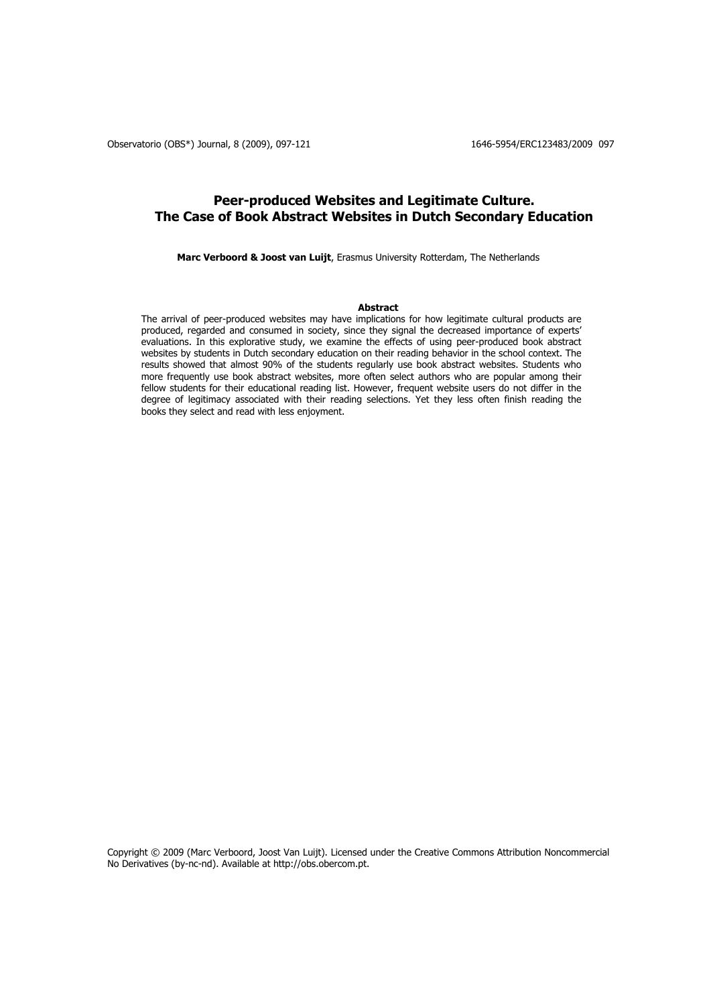# **Peer-produced Websites and Legitimate Culture. The Case of Book Abstract Websites in Dutch Secondary Education**

**Marc Verboord & Joost van Luijt**, Erasmus University Rotterdam, The Netherlands

#### **Abstract**

The arrival of peer-produced websites may have implications for how legitimate cultural products are produced, regarded and consumed in society, since they signal the decreased importance of experts' evaluations. In this explorative study, we examine the effects of using peer-produced book abstract websites by students in Dutch secondary education on their reading behavior in the school context. The results showed that almost 90% of the students regularly use book abstract websites. Students who more frequently use book abstract websites, more often select authors who are popular among their fellow students for their educational reading list. However, frequent website users do not differ in the degree of legitimacy associated with their reading selections. Yet they less often finish reading the books they select and read with less enjoyment.

Copyright © 2009 (Marc Verboord, Joost Van Luijt). Licensed under the Creative Commons Attribution Noncommercial No Derivatives (by-nc-nd). Available at http://obs.obercom.pt.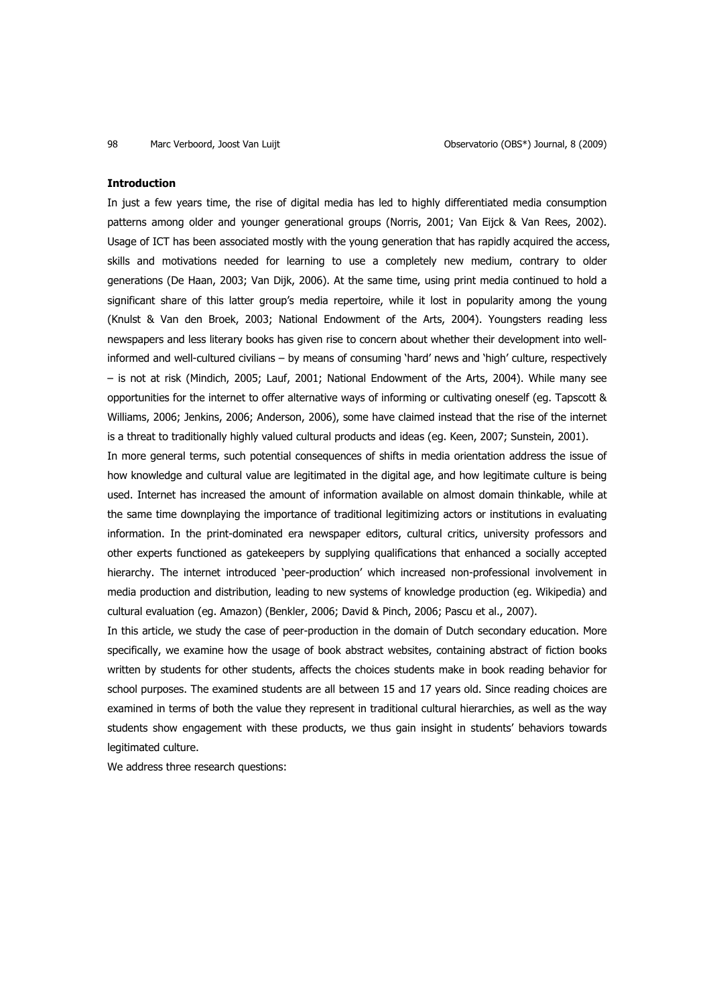#### **Introduction**

In just a few years time, the rise of digital media has led to highly differentiated media consumption patterns among older and younger generational groups (Norris, 2001; Van Eijck & Van Rees, 2002). Usage of ICT has been associated mostly with the young generation that has rapidly acquired the access, skills and motivations needed for learning to use a completely new medium, contrary to older generations (De Haan, 2003; Van Dijk, 2006). At the same time, using print media continued to hold a significant share of this latter group's media repertoire, while it lost in popularity among the young (Knulst & Van den Broek, 2003; National Endowment of the Arts, 2004). Youngsters reading less newspapers and less literary books has given rise to concern about whether their development into wellinformed and well-cultured civilians – by means of consuming 'hard' news and 'high' culture, respectively – is not at risk (Mindich, 2005; Lauf, 2001; National Endowment of the Arts, 2004). While many see opportunities for the internet to offer alternative ways of informing or cultivating oneself (eg. Tapscott & Williams, 2006; Jenkins, 2006; Anderson, 2006), some have claimed instead that the rise of the internet is a threat to traditionally highly valued cultural products and ideas (eg. Keen, 2007; Sunstein, 2001).

In more general terms, such potential consequences of shifts in media orientation address the issue of how knowledge and cultural value are legitimated in the digital age, and how legitimate culture is being used. Internet has increased the amount of information available on almost domain thinkable, while at the same time downplaying the importance of traditional legitimizing actors or institutions in evaluating information. In the print-dominated era newspaper editors, cultural critics, university professors and other experts functioned as gatekeepers by supplying qualifications that enhanced a socially accepted hierarchy. The internet introduced 'peer-production' which increased non-professional involvement in media production and distribution, leading to new systems of knowledge production (eg. Wikipedia) and cultural evaluation (eg. Amazon) (Benkler, 2006; David & Pinch, 2006; Pascu et al., 2007).

In this article, we study the case of peer-production in the domain of Dutch secondary education. More specifically, we examine how the usage of book abstract websites, containing abstract of fiction books written by students for other students, affects the choices students make in book reading behavior for school purposes. The examined students are all between 15 and 17 years old. Since reading choices are examined in terms of both the value they represent in traditional cultural hierarchies, as well as the way students show engagement with these products, we thus gain insight in students' behaviors towards legitimated culture.

We address three research questions: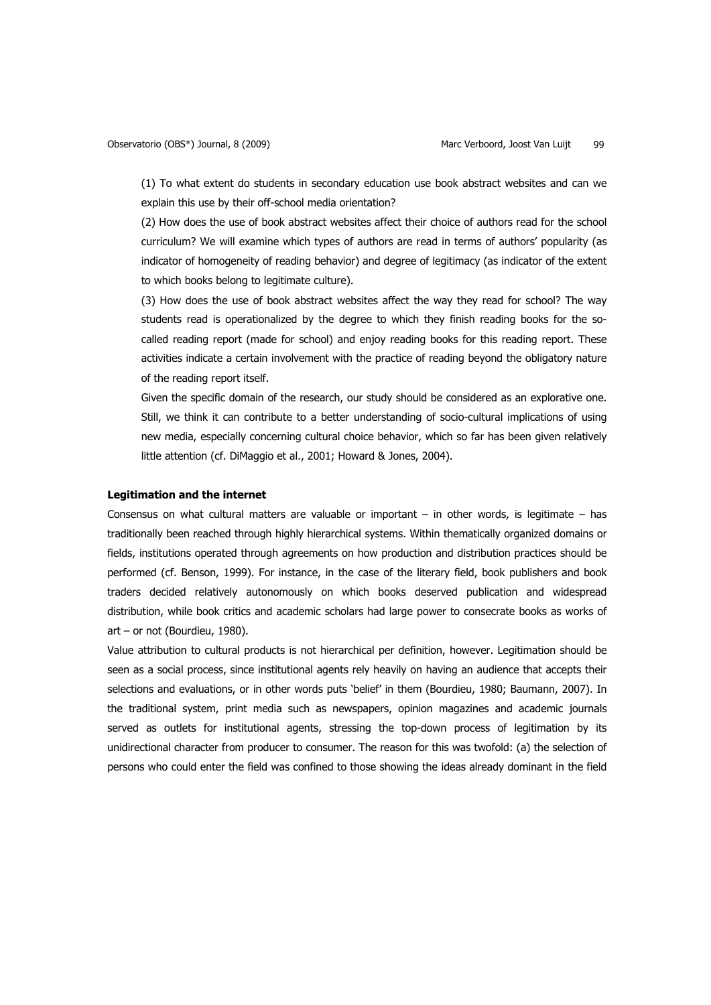(1) To what extent do students in secondary education use book abstract websites and can we explain this use by their off-school media orientation?

(2) How does the use of book abstract websites affect their choice of authors read for the school curriculum? We will examine which types of authors are read in terms of authors' popularity (as indicator of homogeneity of reading behavior) and degree of legitimacy (as indicator of the extent to which books belong to legitimate culture).

(3) How does the use of book abstract websites affect the way they read for school? The way students read is operationalized by the degree to which they finish reading books for the socalled reading report (made for school) and enjoy reading books for this reading report. These activities indicate a certain involvement with the practice of reading beyond the obligatory nature of the reading report itself.

Given the specific domain of the research, our study should be considered as an explorative one. Still, we think it can contribute to a better understanding of socio-cultural implications of using new media, especially concerning cultural choice behavior, which so far has been given relatively little attention (cf. DiMaggio et al., 2001; Howard & Jones, 2004).

#### **Legitimation and the internet**

Consensus on what cultural matters are valuable or important – in other words, is legitimate – has traditionally been reached through highly hierarchical systems. Within thematically organized domains or fields, institutions operated through agreements on how production and distribution practices should be performed (cf. Benson, 1999). For instance, in the case of the literary field, book publishers and book traders decided relatively autonomously on which books deserved publication and widespread distribution, while book critics and academic scholars had large power to consecrate books as works of art – or not (Bourdieu, 1980).

Value attribution to cultural products is not hierarchical per definition, however. Legitimation should be seen as a social process, since institutional agents rely heavily on having an audience that accepts their selections and evaluations, or in other words puts 'belief' in them (Bourdieu, 1980; Baumann, 2007). In the traditional system, print media such as newspapers, opinion magazines and academic journals served as outlets for institutional agents, stressing the top-down process of legitimation by its unidirectional character from producer to consumer. The reason for this was twofold: (a) the selection of persons who could enter the field was confined to those showing the ideas already dominant in the field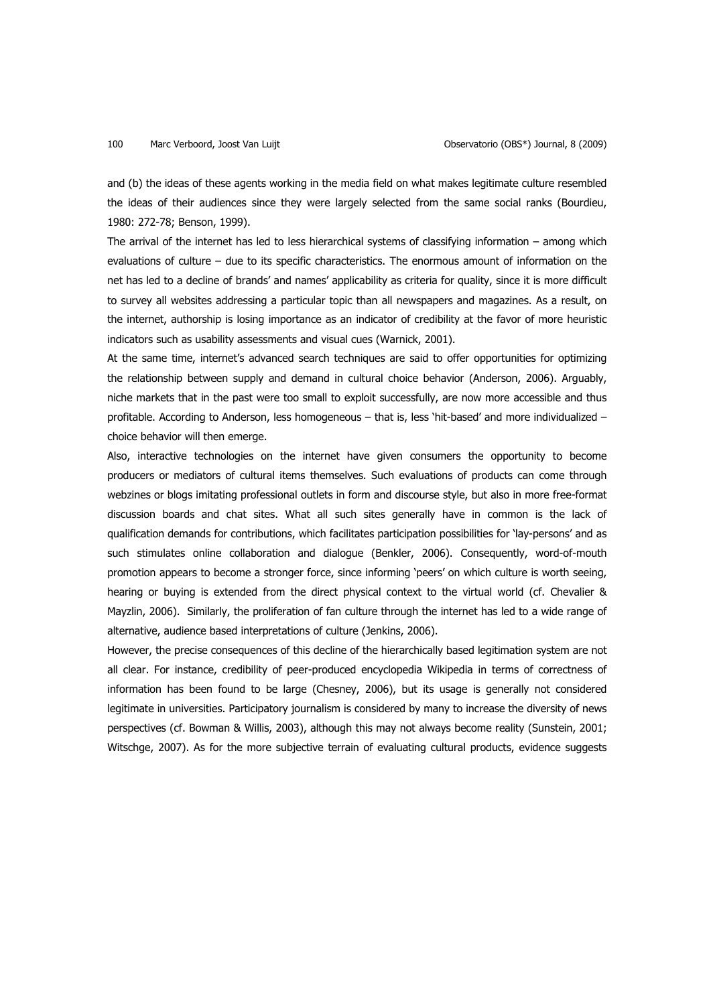and (b) the ideas of these agents working in the media field on what makes legitimate culture resembled the ideas of their audiences since they were largely selected from the same social ranks (Bourdieu, 1980: 272-78; Benson, 1999).

The arrival of the internet has led to less hierarchical systems of classifying information – among which evaluations of culture – due to its specific characteristics. The enormous amount of information on the net has led to a decline of brands' and names' applicability as criteria for quality, since it is more difficult to survey all websites addressing a particular topic than all newspapers and magazines. As a result, on the internet, authorship is losing importance as an indicator of credibility at the favor of more heuristic indicators such as usability assessments and visual cues (Warnick, 2001).

At the same time, internet's advanced search techniques are said to offer opportunities for optimizing the relationship between supply and demand in cultural choice behavior (Anderson, 2006). Arguably, niche markets that in the past were too small to exploit successfully, are now more accessible and thus profitable. According to Anderson, less homogeneous – that is, less 'hit-based' and more individualized – choice behavior will then emerge.

Also, interactive technologies on the internet have given consumers the opportunity to become producers or mediators of cultural items themselves. Such evaluations of products can come through webzines or blogs imitating professional outlets in form and discourse style, but also in more free-format discussion boards and chat sites. What all such sites generally have in common is the lack of qualification demands for contributions, which facilitates participation possibilities for 'lay-persons' and as such stimulates online collaboration and dialogue (Benkler, 2006). Consequently, word-of-mouth promotion appears to become a stronger force, since informing 'peers' on which culture is worth seeing, hearing or buying is extended from the direct physical context to the virtual world (cf. Chevalier & Mayzlin, 2006). Similarly, the proliferation of fan culture through the internet has led to a wide range of alternative, audience based interpretations of culture (Jenkins, 2006).

However, the precise consequences of this decline of the hierarchically based legitimation system are not all clear. For instance, credibility of peer-produced encyclopedia Wikipedia in terms of correctness of information has been found to be large (Chesney, 2006), but its usage is generally not considered legitimate in universities. Participatory journalism is considered by many to increase the diversity of news perspectives (cf. Bowman & Willis, 2003), although this may not always become reality (Sunstein, 2001; Witschge, 2007). As for the more subjective terrain of evaluating cultural products, evidence suggests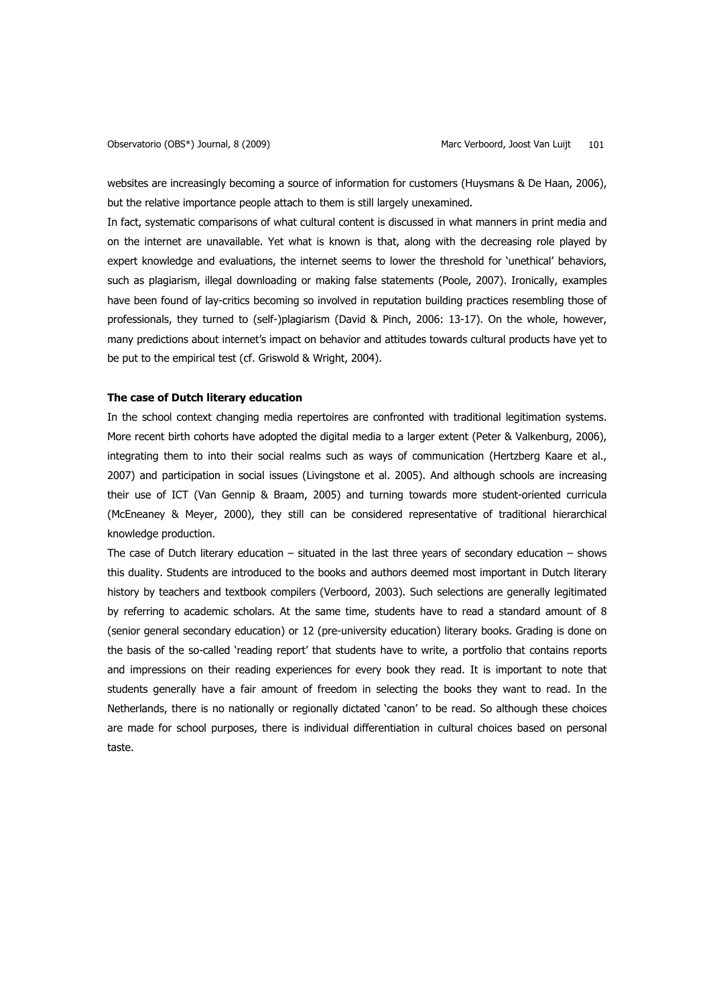websites are increasingly becoming a source of information for customers (Huysmans & De Haan, 2006), but the relative importance people attach to them is still largely unexamined.

In fact, systematic comparisons of what cultural content is discussed in what manners in print media and on the internet are unavailable. Yet what is known is that, along with the decreasing role played by expert knowledge and evaluations, the internet seems to lower the threshold for 'unethical' behaviors, such as plagiarism, illegal downloading or making false statements (Poole, 2007). Ironically, examples have been found of lay-critics becoming so involved in reputation building practices resembling those of professionals, they turned to (self-)plagiarism (David & Pinch, 2006: 13-17). On the whole, however, many predictions about internet's impact on behavior and attitudes towards cultural products have yet to be put to the empirical test (cf. Griswold & Wright, 2004).

## **The case of Dutch literary education**

In the school context changing media repertoires are confronted with traditional legitimation systems. More recent birth cohorts have adopted the digital media to a larger extent (Peter & Valkenburg, 2006), integrating them to into their social realms such as ways of communication (Hertzberg Kaare et al., 2007) and participation in social issues (Livingstone et al. 2005). And although schools are increasing their use of ICT (Van Gennip & Braam, 2005) and turning towards more student-oriented curricula (McEneaney & Meyer, 2000), they still can be considered representative of traditional hierarchical knowledge production.

The case of Dutch literary education  $-$  situated in the last three years of secondary education  $-$  shows this duality. Students are introduced to the books and authors deemed most important in Dutch literary history by teachers and textbook compilers (Verboord, 2003). Such selections are generally legitimated by referring to academic scholars. At the same time, students have to read a standard amount of 8 (senior general secondary education) or 12 (pre-university education) literary books. Grading is done on the basis of the so-called 'reading report' that students have to write, a portfolio that contains reports and impressions on their reading experiences for every book they read. It is important to note that students generally have a fair amount of freedom in selecting the books they want to read. In the Netherlands, there is no nationally or regionally dictated 'canon' to be read. So although these choices are made for school purposes, there is individual differentiation in cultural choices based on personal taste.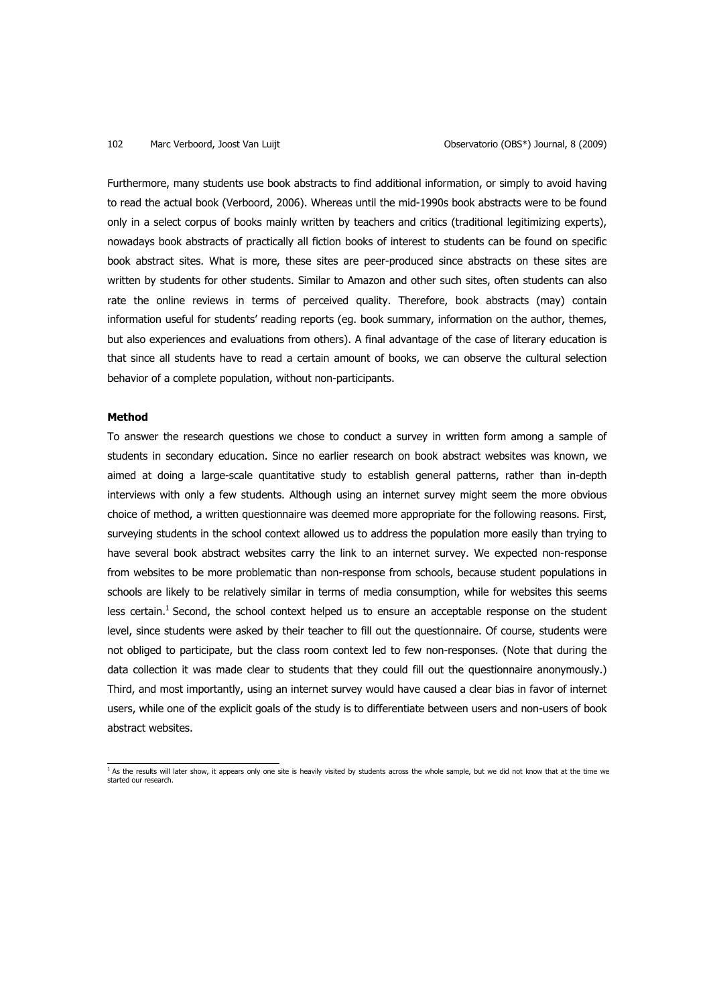Furthermore, many students use book abstracts to find additional information, or simply to avoid having to read the actual book (Verboord, 2006). Whereas until the mid-1990s book abstracts were to be found only in a select corpus of books mainly written by teachers and critics (traditional legitimizing experts), nowadays book abstracts of practically all fiction books of interest to students can be found on specific book abstract sites. What is more, these sites are peer-produced since abstracts on these sites are written by students for other students. Similar to Amazon and other such sites, often students can also rate the online reviews in terms of perceived quality. Therefore, book abstracts (may) contain information useful for students' reading reports (eg. book summary, information on the author, themes, but also experiences and evaluations from others). A final advantage of the case of literary education is that since all students have to read a certain amount of books, we can observe the cultural selection behavior of a complete population, without non-participants.

## **Method**

To answer the research questions we chose to conduct a survey in written form among a sample of students in secondary education. Since no earlier research on book abstract websites was known, we aimed at doing a large-scale quantitative study to establish general patterns, rather than in-depth interviews with only a few students. Although using an internet survey might seem the more obvious choice of method, a written questionnaire was deemed more appropriate for the following reasons. First, surveying students in the school context allowed us to address the population more easily than trying to have several book abstract websites carry the link to an internet survey. We expected non-response from websites to be more problematic than non-response from schools, because student populations in schools are likely to be relatively similar in terms of media consumption, while for websites this seems less certain.<sup>1</sup> Second, the school context helped us to ensure an acceptable response on the student level, since students were asked by their teacher to fill out the questionnaire. Of course, students were not obliged to participate, but the class room context led to few non-responses. (Note that during the data collection it was made clear to students that they could fill out the questionnaire anonymously.) Third, and most importantly, using an internet survey would have caused a clear bias in favor of internet users, while one of the explicit goals of the study is to differentiate between users and non-users of book abstract websites.

 $<sup>1</sup>$  As the results will later show, it appears only one site is heavily visited by students across the whole sample, but we did not know that at the time we</sup> started our research.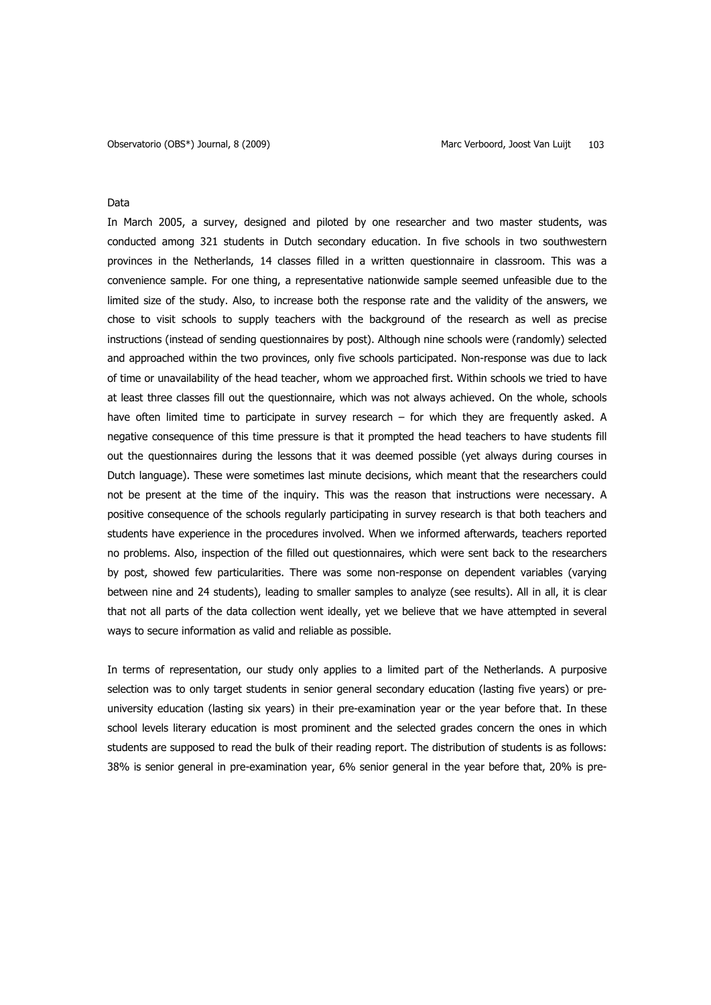## Data

In March 2005, a survey, designed and piloted by one researcher and two master students, was conducted among 321 students in Dutch secondary education. In five schools in two southwestern provinces in the Netherlands, 14 classes filled in a written questionnaire in classroom. This was a convenience sample. For one thing, a representative nationwide sample seemed unfeasible due to the limited size of the study. Also, to increase both the response rate and the validity of the answers, we chose to visit schools to supply teachers with the background of the research as well as precise instructions (instead of sending questionnaires by post). Although nine schools were (randomly) selected and approached within the two provinces, only five schools participated. Non-response was due to lack of time or unavailability of the head teacher, whom we approached first. Within schools we tried to have at least three classes fill out the questionnaire, which was not always achieved. On the whole, schools have often limited time to participate in survey research – for which they are frequently asked. A negative consequence of this time pressure is that it prompted the head teachers to have students fill out the questionnaires during the lessons that it was deemed possible (yet always during courses in Dutch language). These were sometimes last minute decisions, which meant that the researchers could not be present at the time of the inquiry. This was the reason that instructions were necessary. A positive consequence of the schools regularly participating in survey research is that both teachers and students have experience in the procedures involved. When we informed afterwards, teachers reported no problems. Also, inspection of the filled out questionnaires, which were sent back to the researchers by post, showed few particularities. There was some non-response on dependent variables (varying between nine and 24 students), leading to smaller samples to analyze (see results). All in all, it is clear that not all parts of the data collection went ideally, yet we believe that we have attempted in several ways to secure information as valid and reliable as possible.

In terms of representation, our study only applies to a limited part of the Netherlands. A purposive selection was to only target students in senior general secondary education (lasting five years) or preuniversity education (lasting six years) in their pre-examination year or the year before that. In these school levels literary education is most prominent and the selected grades concern the ones in which students are supposed to read the bulk of their reading report. The distribution of students is as follows: 38% is senior general in pre-examination year, 6% senior general in the year before that, 20% is pre-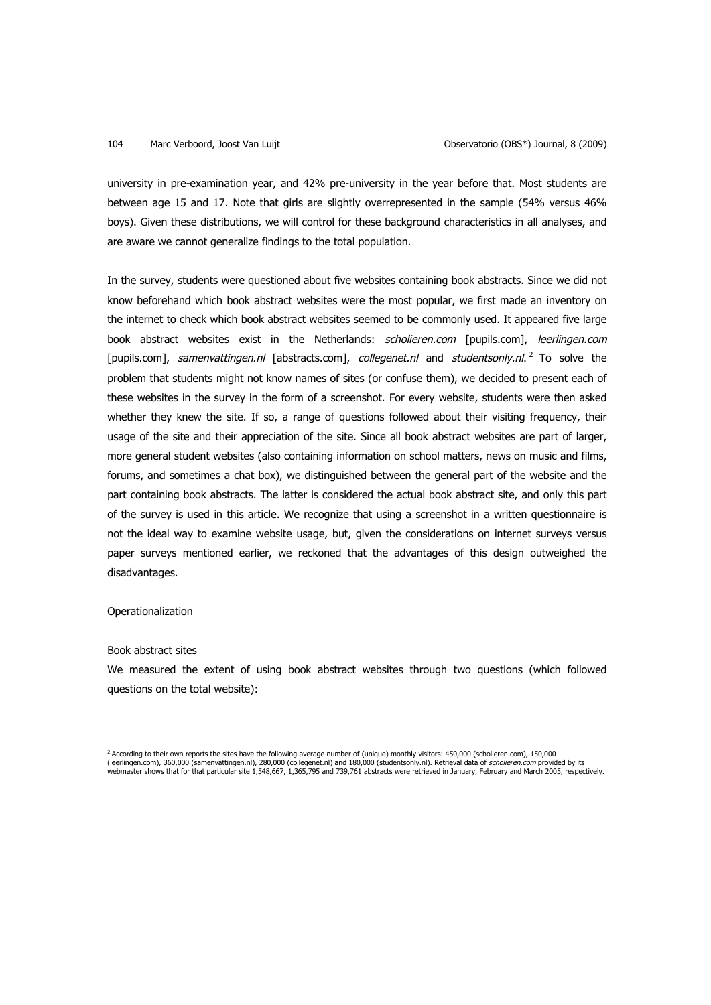university in pre-examination year, and 42% pre-university in the year before that. Most students are between age 15 and 17. Note that girls are slightly overrepresented in the sample (54% versus 46% boys). Given these distributions, we will control for these background characteristics in all analyses, and are aware we cannot generalize findings to the total population.

In the survey, students were questioned about five websites containing book abstracts. Since we did not know beforehand which book abstract websites were the most popular, we first made an inventory on the internet to check which book abstract websites seemed to be commonly used. It appeared five large book abstract websites exist in the Netherlands: *scholieren.com* [pupils.com], *leerlingen.com* [pupils.com], samenvattingen.nl [abstracts.com], collegenet.nl and studentsonly.nl.<sup>2</sup> To solve the problem that students might not know names of sites (or confuse them), we decided to present each of these websites in the survey in the form of a screenshot. For every website, students were then asked whether they knew the site. If so, a range of questions followed about their visiting frequency, their usage of the site and their appreciation of the site. Since all book abstract websites are part of larger, more general student websites (also containing information on school matters, news on music and films, forums, and sometimes a chat box), we distinguished between the general part of the website and the part containing book abstracts. The latter is considered the actual book abstract site, and only this part of the survey is used in this article. We recognize that using a screenshot in a written questionnaire is not the ideal way to examine website usage, but, given the considerations on internet surveys versus paper surveys mentioned earlier, we reckoned that the advantages of this design outweighed the disadvantages.

## **Operationalization**

## Book abstract sites

We measured the extent of using book abstract websites through two questions (which followed questions on the total website):

<sup>&</sup>lt;sup>2</sup> According to their own reports the sites have the following average number of (unique) monthly visitors: 450,000 (scholieren.com), 150,000 (leerlingen.com), 360,000 (samenvattingen.nl), 280,000 (collegenet.nl) and 180,000 (studentsonly.nl). Retrieval data of *scholieren.com* provided by its<br>webmaster shows that for that particular site 1,548,667, 1,365,795 an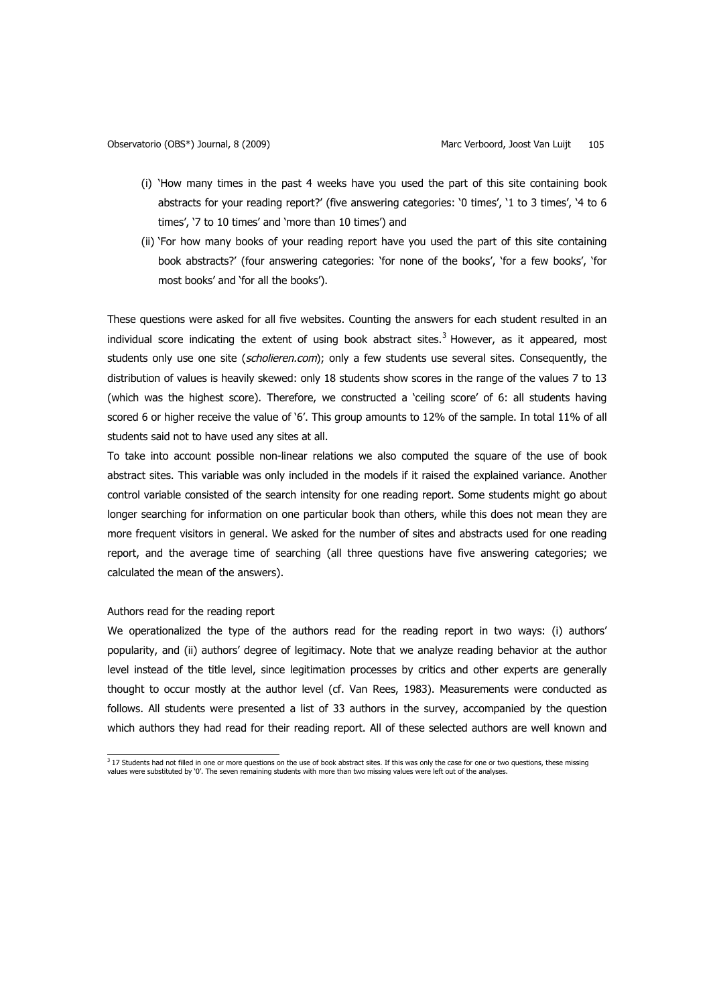- (i) 'How many times in the past 4 weeks have you used the part of this site containing book abstracts for your reading report?' (five answering categories: '0 times', '1 to 3 times', '4 to 6 times', '7 to 10 times' and 'more than 10 times') and
- (ii) 'For how many books of your reading report have you used the part of this site containing book abstracts?' (four answering categories: 'for none of the books', 'for a few books', 'for most books' and 'for all the books').

These questions were asked for all five websites. Counting the answers for each student resulted in an individual score indicating the extent of using book abstract sites. $3$  However, as it appeared, most students only use one site (scholieren.com); only a few students use several sites. Consequently, the distribution of values is heavily skewed: only 18 students show scores in the range of the values 7 to 13 (which was the highest score). Therefore, we constructed a 'ceiling score' of 6: all students having scored 6 or higher receive the value of '6'. This group amounts to 12% of the sample. In total 11% of all students said not to have used any sites at all.

To take into account possible non-linear relations we also computed the square of the use of book abstract sites. This variable was only included in the models if it raised the explained variance. Another control variable consisted of the search intensity for one reading report. Some students might go about longer searching for information on one particular book than others, while this does not mean they are more frequent visitors in general. We asked for the number of sites and abstracts used for one reading report, and the average time of searching (all three questions have five answering categories; we calculated the mean of the answers).

#### Authors read for the reading report

We operationalized the type of the authors read for the reading report in two ways: (i) authors' popularity, and (ii) authors' degree of legitimacy. Note that we analyze reading behavior at the author level instead of the title level, since legitimation processes by critics and other experts are generally thought to occur mostly at the author level (cf. Van Rees, 1983). Measurements were conducted as follows. All students were presented a list of 33 authors in the survey, accompanied by the question which authors they had read for their reading report. All of these selected authors are well known and

<sup>&</sup>lt;sup>3</sup> 17 Students had not filled in one or more questions on the use of book abstract sites. If this was only the case for one or two questions, these missing values were substituted by '0'. The seven remaining students with more than two missing values were left out of the analyses.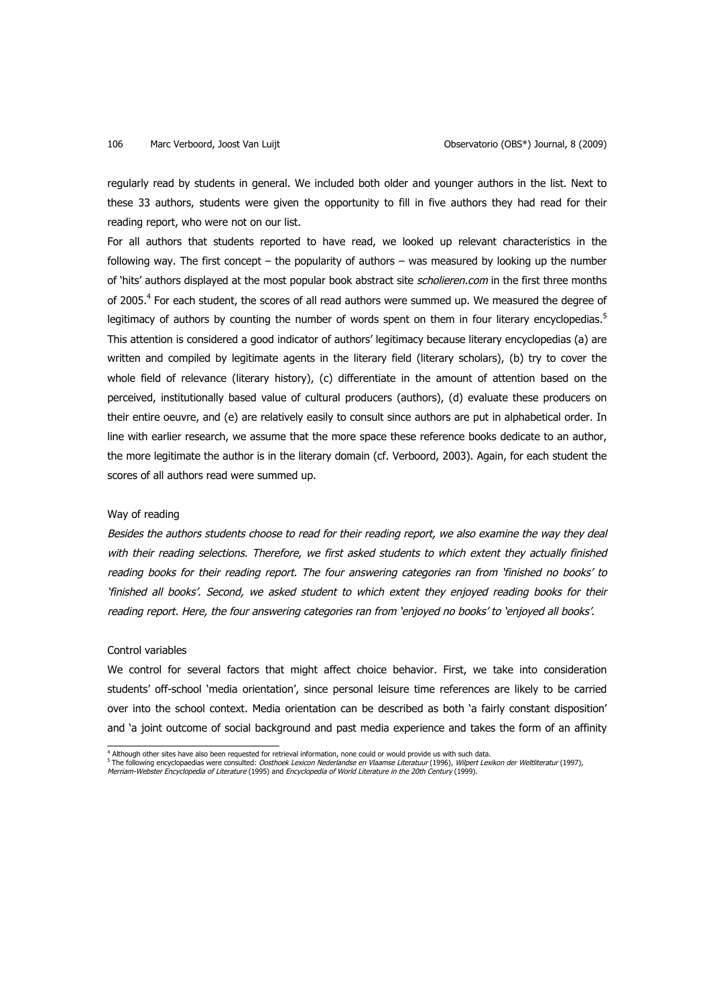regularly read by students in general. We included both older and younger authors in the list. Next to these 33 authors, students were given the opportunity to fill in five authors they had read for their reading report, who were not on our list.

For all authors that students reported to have read, we looked up relevant characteristics in the following way. The first concept – the popularity of authors – was measured by looking up the number of 'hits' authors displayed at the most popular book abstract site scholieren.com in the first three months of 2005.<sup>4</sup> For each student, the scores of all read authors were summed up. We measured the degree of legitimacy of authors by counting the number of words spent on them in four literary encyclopedias.<sup>5</sup> This attention is considered a good indicator of authors' legitimacy because literary encyclopedias (a) are written and compiled by legitimate agents in the literary field (literary scholars), (b) try to cover the whole field of relevance (literary history), (c) differentiate in the amount of attention based on the perceived, institutionally based value of cultural producers (authors), (d) evaluate these producers on their entire oeuvre, and (e) are relatively easily to consult since authors are put in alphabetical order. In line with earlier research, we assume that the more space these reference books dedicate to an author, the more legitimate the author is in the literary domain (cf. Verboord, 2003). Again, for each student the scores of all authors read were summed up.

## Way of reading

Besides the authors students choose to read for their reading report, we also examine the way they deal with their reading selections. Therefore, we first asked students to which extent they actually finished reading books for their reading report. The four answering categories ran from 'finished no books' to 'finished all books'. Second, we asked student to which extent they enjoyed reading books for their reading report. Here, the four answering categories ran from 'enjoyed no books' to 'enjoyed all books'.

## Control variables

We control for several factors that might affect choice behavior. First, we take into consideration students' off-school 'media orientation', since personal leisure time references are likely to be carried over into the school context. Media orientation can be described as both 'a fairly constant disposition' and 'a joint outcome of social background and past media experience and takes the form of an affinity

 <sup>4</sup> Although other sites have also been requested for retrieval information, none could or would provide us with such data.

<sup>&</sup>lt;sup>5</sup> The following encyclopaedias were consulted: Oosthoek Lexicon Nederlandse en Vlaamse Literatuur (1996), Wilpert Lexikon der Weltliteratur (1997), Merriam-Webster Encyclopedia of Literature (1995) and Encyclopedia of World Literature in the 20th Century (1999).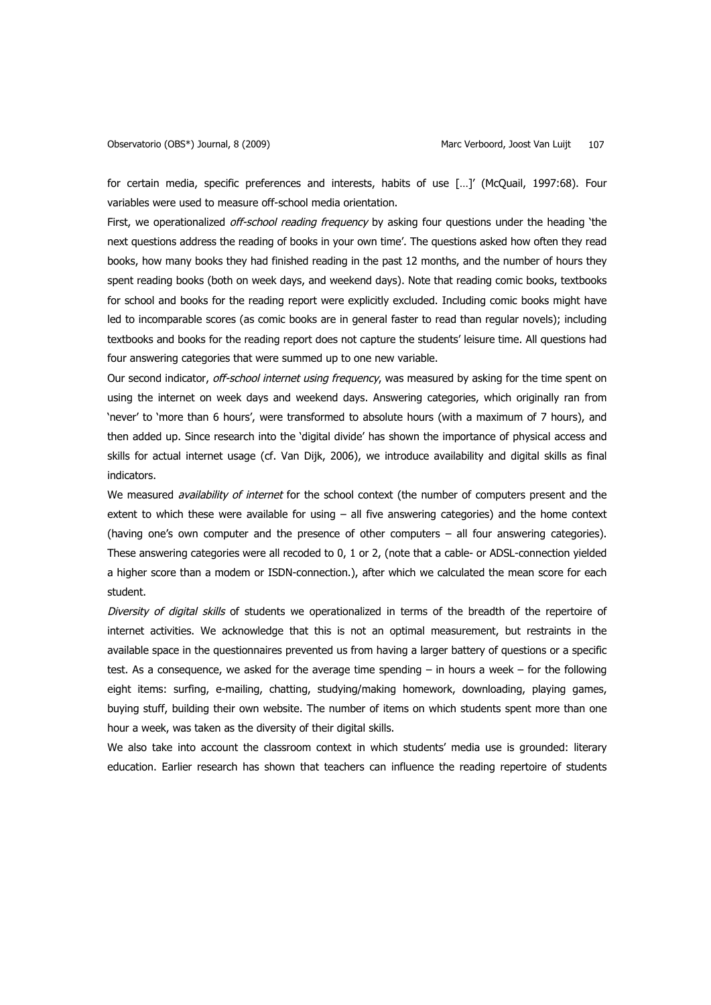for certain media, specific preferences and interests, habits of use […]' (McQuail, 1997:68). Four variables were used to measure off-school media orientation.

First, we operationalized off-school reading frequency by asking four questions under the heading 'the next questions address the reading of books in your own time'. The questions asked how often they read books, how many books they had finished reading in the past 12 months, and the number of hours they spent reading books (both on week days, and weekend days). Note that reading comic books, textbooks for school and books for the reading report were explicitly excluded. Including comic books might have led to incomparable scores (as comic books are in general faster to read than regular novels); including textbooks and books for the reading report does not capture the students' leisure time. All questions had four answering categories that were summed up to one new variable.

Our second indicator, off-school internet using frequency, was measured by asking for the time spent on using the internet on week days and weekend days. Answering categories, which originally ran from 'never' to 'more than 6 hours', were transformed to absolute hours (with a maximum of 7 hours), and then added up. Since research into the 'digital divide' has shown the importance of physical access and skills for actual internet usage (cf. Van Dijk, 2006), we introduce availability and digital skills as final indicators.

We measured *availability of internet* for the school context (the number of computers present and the extent to which these were available for using  $-$  all five answering categories) and the home context (having one's own computer and the presence of other computers – all four answering categories). These answering categories were all recoded to 0, 1 or 2, (note that a cable- or ADSL-connection yielded a higher score than a modem or ISDN-connection.), after which we calculated the mean score for each student.

Diversity of digital skills of students we operationalized in terms of the breadth of the repertoire of internet activities. We acknowledge that this is not an optimal measurement, but restraints in the available space in the questionnaires prevented us from having a larger battery of questions or a specific test. As a consequence, we asked for the average time spending – in hours a week – for the following eight items: surfing, e-mailing, chatting, studying/making homework, downloading, playing games, buying stuff, building their own website. The number of items on which students spent more than one hour a week, was taken as the diversity of their digital skills.

We also take into account the classroom context in which students' media use is grounded: literary education. Earlier research has shown that teachers can influence the reading repertoire of students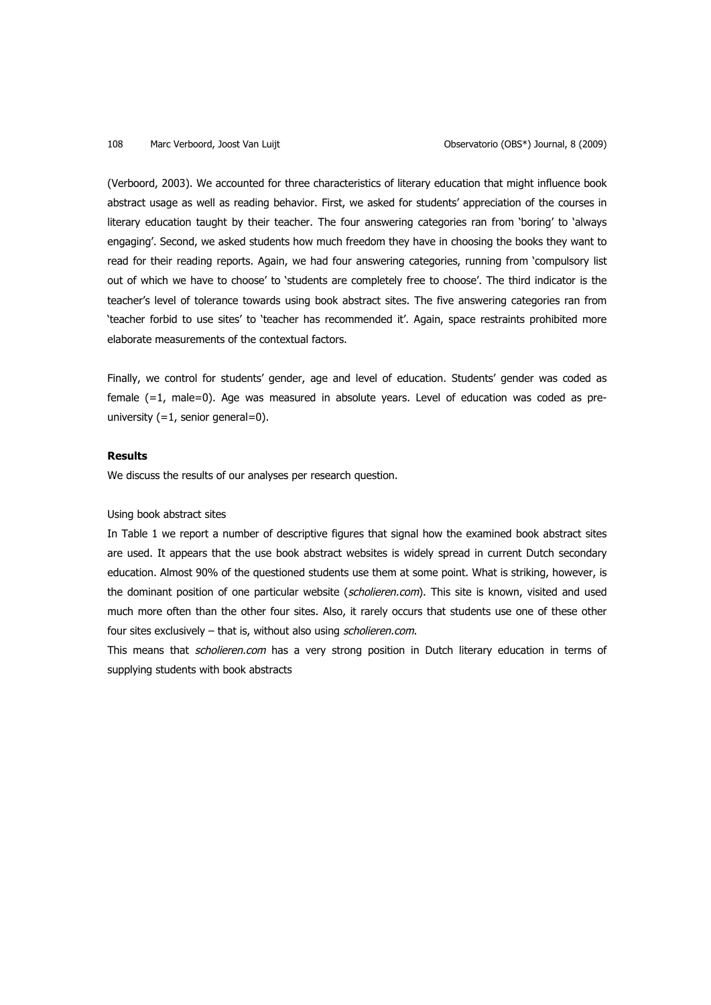(Verboord, 2003). We accounted for three characteristics of literary education that might influence book abstract usage as well as reading behavior. First, we asked for students' appreciation of the courses in literary education taught by their teacher. The four answering categories ran from 'boring' to 'always engaging'. Second, we asked students how much freedom they have in choosing the books they want to read for their reading reports. Again, we had four answering categories, running from 'compulsory list out of which we have to choose' to 'students are completely free to choose'. The third indicator is the teacher's level of tolerance towards using book abstract sites. The five answering categories ran from 'teacher forbid to use sites' to 'teacher has recommended it'. Again, space restraints prohibited more elaborate measurements of the contextual factors.

Finally, we control for students' gender, age and level of education. Students' gender was coded as female (=1, male=0). Age was measured in absolute years. Level of education was coded as preuniversity (=1, senior general=0).

## **Results**

We discuss the results of our analyses per research question.

## Using book abstract sites

In Table 1 we report a number of descriptive figures that signal how the examined book abstract sites are used. It appears that the use book abstract websites is widely spread in current Dutch secondary education. Almost 90% of the questioned students use them at some point. What is striking, however, is the dominant position of one particular website (scholieren.com). This site is known, visited and used much more often than the other four sites. Also, it rarely occurs that students use one of these other four sites exclusively – that is, without also using scholieren.com.

This means that scholieren.com has a very strong position in Dutch literary education in terms of supplying students with book abstracts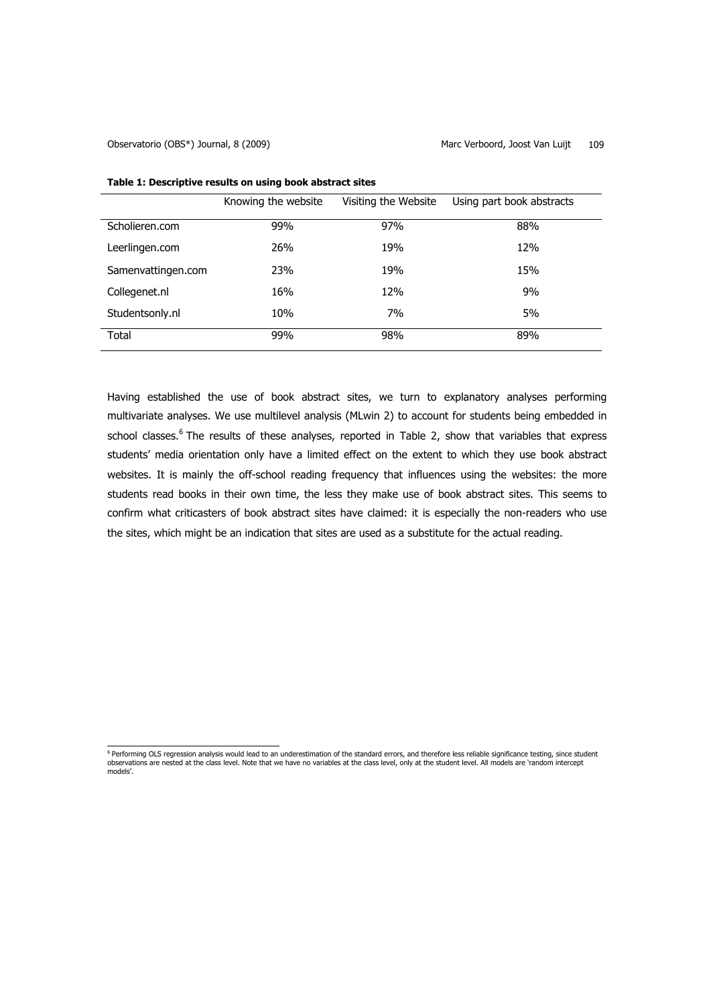|                    | Knowing the website | Visiting the Website | Using part book abstracts |
|--------------------|---------------------|----------------------|---------------------------|
| Scholieren.com     | 99%                 | 97%                  | 88%                       |
| Leerlingen.com     | 26%                 | 19%                  | 12%                       |
| Samenvattingen.com | 23%                 | 19%                  | 15%                       |
| Collegenet.nl      | 16%                 | 12%                  | 9%                        |
| Studentsonly.nl    | 10%                 | 7%                   | 5%                        |
| Total              | 99%                 | 98%                  | 89%                       |

## **Table 1: Descriptive results on using book abstract sites**

Having established the use of book abstract sites, we turn to explanatory analyses performing multivariate analyses. We use multilevel analysis (MLwin 2) to account for students being embedded in school classes.<sup>6</sup> The results of these analyses, reported in Table 2, show that variables that express students' media orientation only have a limited effect on the extent to which they use book abstract websites. It is mainly the off-school reading frequency that influences using the websites: the more students read books in their own time, the less they make use of book abstract sites. This seems to confirm what criticasters of book abstract sites have claimed: it is especially the non-readers who use the sites, which might be an indication that sites are used as a substitute for the actual reading.

<sup>&</sup>lt;sup>6</sup> Performing OLS regression analysis would lead to an underestimation of the standard errors, and therefore less reliable significance testing, since student observations are nested at the class level. Note that we have no variables at the class level, only at the student level. All models are 'random intercept models'.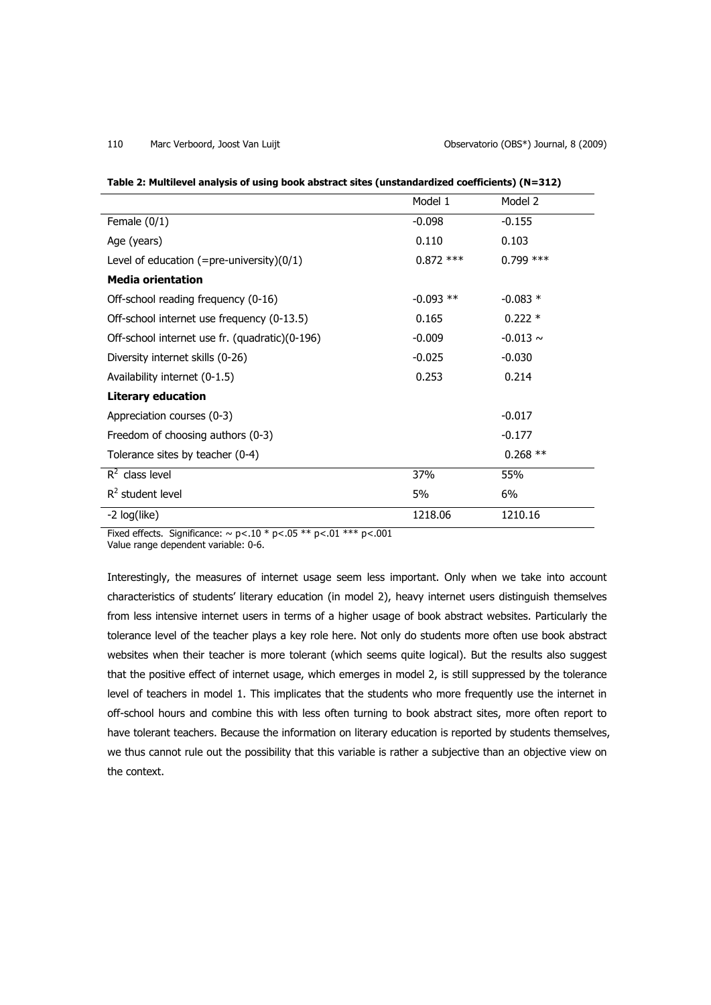|                                                 | Model 1     | Model 2       |
|-------------------------------------------------|-------------|---------------|
| Female $(0/1)$                                  | $-0.098$    | $-0.155$      |
| Age (years)                                     | 0.110       | 0.103         |
| Level of education $(=$ pre-university $)(0/1)$ | $0.872$ *** | $0.799$ ***   |
| <b>Media orientation</b>                        |             |               |
| Off-school reading frequency (0-16)             | $-0.093$ ** | $-0.083*$     |
| Off-school internet use frequency (0-13.5)      | 0.165       | $0.222*$      |
| Off-school internet use fr. (quadratic)(0-196)  | $-0.009$    | $-0.013 \sim$ |
| Diversity internet skills (0-26)                | $-0.025$    | $-0.030$      |
| Availability internet (0-1.5)                   | 0.253       | 0.214         |
| <b>Literary education</b>                       |             |               |
| Appreciation courses (0-3)                      |             | $-0.017$      |
| Freedom of choosing authors (0-3)               |             | $-0.177$      |
| Tolerance sites by teacher (0-4)                |             | $0.268$ **    |
| $R^2$ class level                               | 37%         | 55%           |
| $R^2$ student level                             | 5%          | 6%            |
| -2 log(like)                                    | 1218.06     | 1210.16       |
|                                                 |             |               |

Fixed effects. Significance:  $\sim$  p<.10 \* p<.05 \*\* p<.01 \*\*\* p<.001

Value range dependent variable: 0-6.

Interestingly, the measures of internet usage seem less important. Only when we take into account characteristics of students' literary education (in model 2), heavy internet users distinguish themselves from less intensive internet users in terms of a higher usage of book abstract websites. Particularly the tolerance level of the teacher plays a key role here. Not only do students more often use book abstract websites when their teacher is more tolerant (which seems quite logical). But the results also suggest that the positive effect of internet usage, which emerges in model 2, is still suppressed by the tolerance level of teachers in model 1. This implicates that the students who more frequently use the internet in off-school hours and combine this with less often turning to book abstract sites, more often report to have tolerant teachers. Because the information on literary education is reported by students themselves, we thus cannot rule out the possibility that this variable is rather a subjective than an objective view on the context.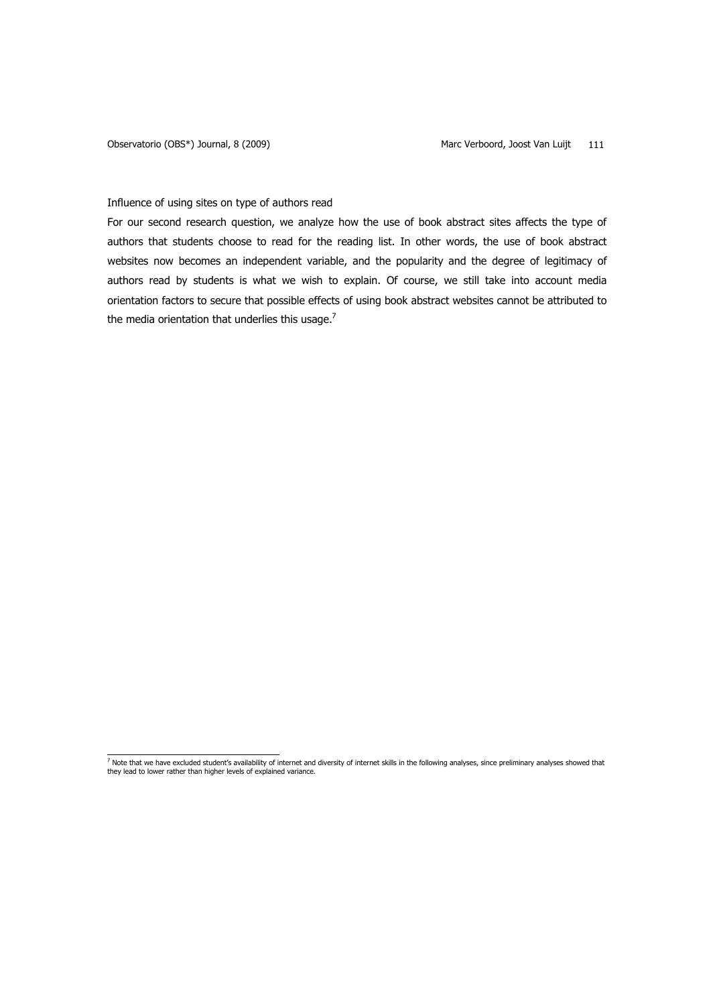## Influence of using sites on type of authors read

For our second research question, we analyze how the use of book abstract sites affects the type of authors that students choose to read for the reading list. In other words, the use of book abstract websites now becomes an independent variable, and the popularity and the degree of legitimacy of authors read by students is what we wish to explain. Of course, we still take into account media orientation factors to secure that possible effects of using book abstract websites cannot be attributed to the media orientation that underlies this usage.<sup>7</sup>

\_<br>7 Note that we have excluded student's availability of internet and diversity of internet skills in the following analyses, since preliminary analyses showed that<br>they lead to lower rather than higher levels of explained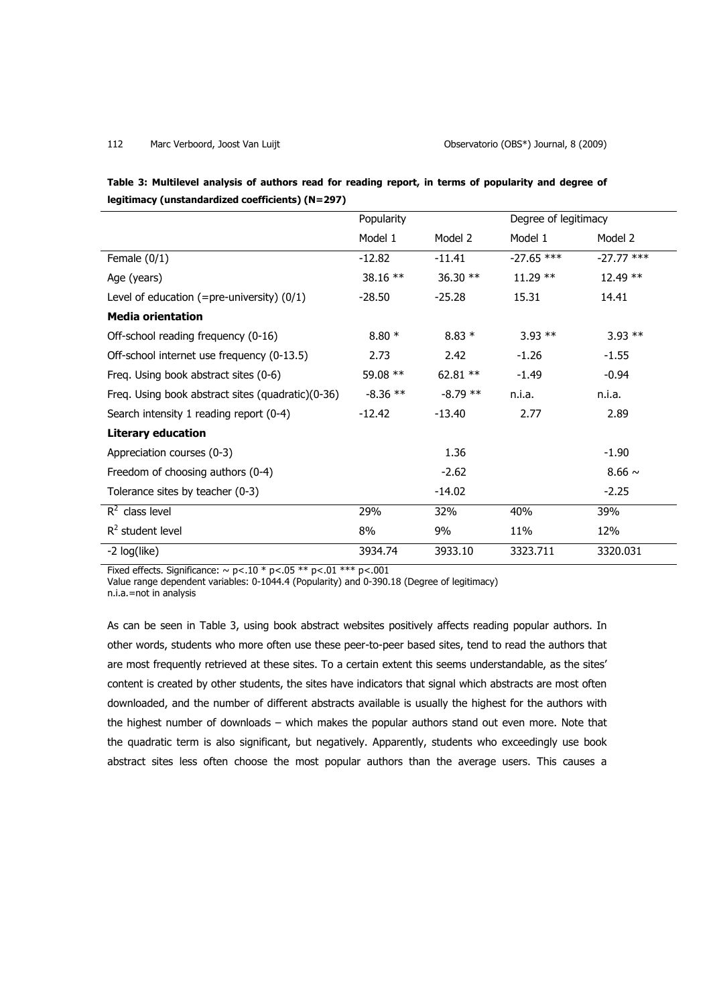| Table 3: Multilevel analysis of authors read for reading report, in terms of popularity and degree of |  |  |
|-------------------------------------------------------------------------------------------------------|--|--|
| legitimacy (unstandardized coefficients) (N=297)                                                      |  |  |

|                                                   | Popularity |            | Degree of legitimacy |              |
|---------------------------------------------------|------------|------------|----------------------|--------------|
|                                                   | Model 1    | Model 2    | Model 1              | Model 2      |
| Female $(0/1)$                                    | $-12.82$   | $-11.41$   | $-27.65$ ***         | $-27.77$ *** |
| Age (years)                                       | 38.16 **   | 36.30 **   | $11.29**$            | $12.49**$    |
| Level of education (=pre-university) $(0/1)$      | $-28.50$   | $-25.28$   | 15.31                | 14.41        |
| <b>Media orientation</b>                          |            |            |                      |              |
| Off-school reading frequency (0-16)               | $8.80*$    | $8.83*$    | $3.93**$             | $3.93$ **    |
| Off-school internet use frequency (0-13.5)        | 2.73       | 2.42       | $-1.26$              | $-1.55$      |
| Freq. Using book abstract sites (0-6)             | 59.08 **   | 62.81 $**$ | $-1.49$              | $-0.94$      |
| Freq. Using book abstract sites (quadratic)(0-36) | $-8.36$ ** | $-8.79$ ** | n.i.a.               | n.i.a.       |
| Search intensity 1 reading report (0-4)           | $-12.42$   | $-13.40$   | 2.77                 | 2.89         |
| <b>Literary education</b>                         |            |            |                      |              |
| Appreciation courses (0-3)                        |            | 1.36       |                      | $-1.90$      |
| Freedom of choosing authors (0-4)                 |            | $-2.62$    |                      | $8.66 \sim$  |
| Tolerance sites by teacher (0-3)                  |            | $-14.02$   |                      | $-2.25$      |
| $R^2$ class level                                 | 29%        | 32%        | 40%                  | 39%          |
| $R^2$ student level                               | 8%         | 9%         | 11%                  | 12%          |
| -2 log(like)                                      | 3934.74    | 3933.10    | 3323.711             | 3320.031     |

Fixed effects. Significance:  $\sim$  p<.10 \* p<.05 \*\* p<.01 \*\*\* p<.001

Value range dependent variables: 0-1044.4 (Popularity) and 0-390.18 (Degree of legitimacy)

n.i.a.=not in analysis

As can be seen in Table 3, using book abstract websites positively affects reading popular authors. In other words, students who more often use these peer-to-peer based sites, tend to read the authors that are most frequently retrieved at these sites. To a certain extent this seems understandable, as the sites' content is created by other students, the sites have indicators that signal which abstracts are most often downloaded, and the number of different abstracts available is usually the highest for the authors with the highest number of downloads – which makes the popular authors stand out even more. Note that the quadratic term is also significant, but negatively. Apparently, students who exceedingly use book abstract sites less often choose the most popular authors than the average users. This causes a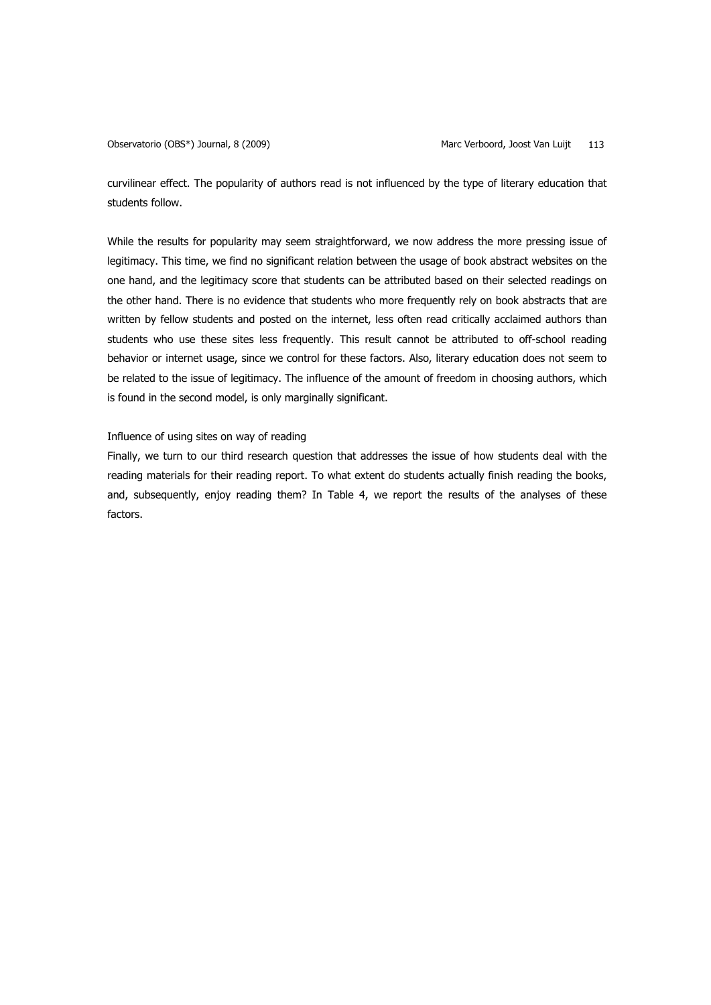curvilinear effect. The popularity of authors read is not influenced by the type of literary education that students follow.

While the results for popularity may seem straightforward, we now address the more pressing issue of legitimacy. This time, we find no significant relation between the usage of book abstract websites on the one hand, and the legitimacy score that students can be attributed based on their selected readings on the other hand. There is no evidence that students who more frequently rely on book abstracts that are written by fellow students and posted on the internet, less often read critically acclaimed authors than students who use these sites less frequently. This result cannot be attributed to off-school reading behavior or internet usage, since we control for these factors. Also, literary education does not seem to be related to the issue of legitimacy. The influence of the amount of freedom in choosing authors, which is found in the second model, is only marginally significant.

## Influence of using sites on way of reading

Finally, we turn to our third research question that addresses the issue of how students deal with the reading materials for their reading report. To what extent do students actually finish reading the books, and, subsequently, enjoy reading them? In Table 4, we report the results of the analyses of these factors.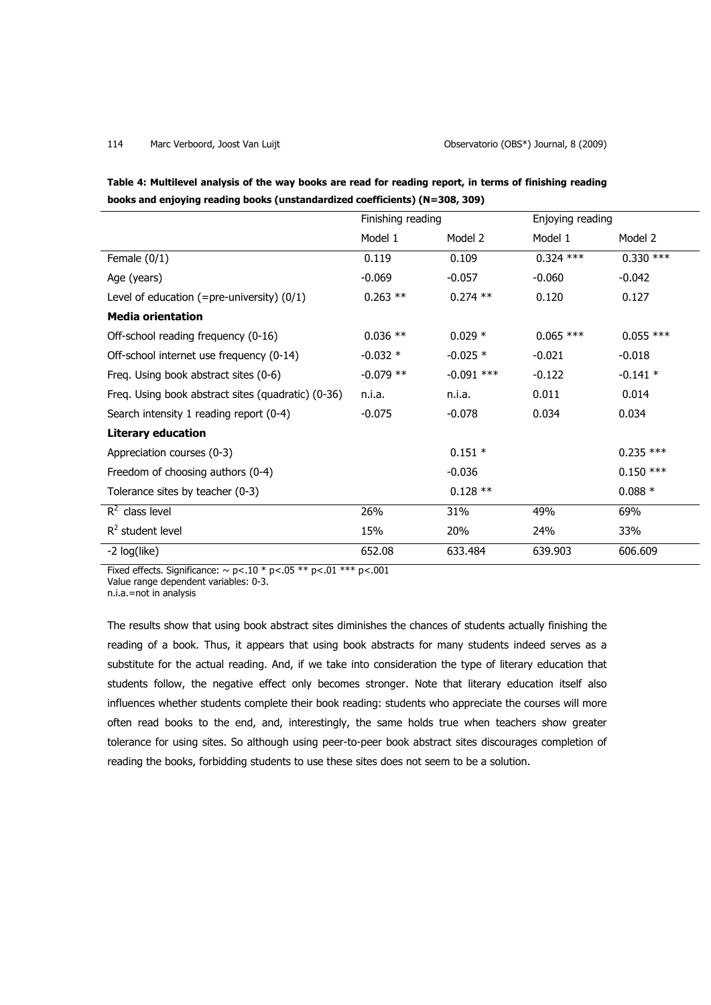| Table 4: Multilevel analysis of the way books are read for reading report, in terms of finishing reading |
|----------------------------------------------------------------------------------------------------------|
| books and enjoying reading books (unstandardized coefficients) (N=308, 309)                              |

|                                                    | Finishing reading |              | Enjoying reading |             |
|----------------------------------------------------|-------------------|--------------|------------------|-------------|
|                                                    | Model 1           | Model 2      | Model 1          | Model 2     |
| Female $(0/1)$                                     | 0.119             | 0.109        | $0.324$ ***      | $0.330***$  |
| Age (years)                                        | $-0.069$          | $-0.057$     | $-0.060$         | $-0.042$    |
| Level of education (=pre-university) $(0/1)$       | $0.263$ **        | $0.274$ **   | 0.120            | 0.127       |
| <b>Media orientation</b>                           |                   |              |                  |             |
| Off-school reading frequency (0-16)                | $0.036$ **        | $0.029*$     | $0.065$ ***      | $0.055$ *** |
| Off-school internet use frequency (0-14)           | $-0.032*$         | $-0.025$ *   | $-0.021$         | $-0.018$    |
| Freq. Using book abstract sites (0-6)              | $-0.079$ **       | $-0.091$ *** | $-0.122$         | $-0.141 *$  |
| Freq. Using book abstract sites (quadratic) (0-36) | n.i.a.            | n.i.a.       | 0.011            | 0.014       |
| Search intensity 1 reading report (0-4)            | $-0.075$          | $-0.078$     | 0.034            | 0.034       |
| <b>Literary education</b>                          |                   |              |                  |             |
| Appreciation courses (0-3)                         |                   | $0.151*$     |                  | $0.235$ *** |
| Freedom of choosing authors (0-4)                  |                   | $-0.036$     |                  | $0.150***$  |
| Tolerance sites by teacher (0-3)                   |                   | $0.128**$    |                  | $0.088*$    |
| $R^2$ class level                                  | 26%               | 31%          | 49%              | 69%         |
| $R2$ student level                                 | 15%               | 20%          | 24%              | 33%         |
| -2 log(like)                                       | 652.08            | 633.484      | 639.903          | 606.609     |

Fixed effects. Significance:  $\sim$  p<.10 \* p<.05 \*\* p<.01 \*\*\* p<.001

Value range dependent variables: 0-3.

n.i.a.=not in analysis

The results show that using book abstract sites diminishes the chances of students actually finishing the reading of a book. Thus, it appears that using book abstracts for many students indeed serves as a substitute for the actual reading. And, if we take into consideration the type of literary education that students follow, the negative effect only becomes stronger. Note that literary education itself also influences whether students complete their book reading: students who appreciate the courses will more often read books to the end, and, interestingly, the same holds true when teachers show greater tolerance for using sites. So although using peer-to-peer book abstract sites discourages completion of reading the books, forbidding students to use these sites does not seem to be a solution.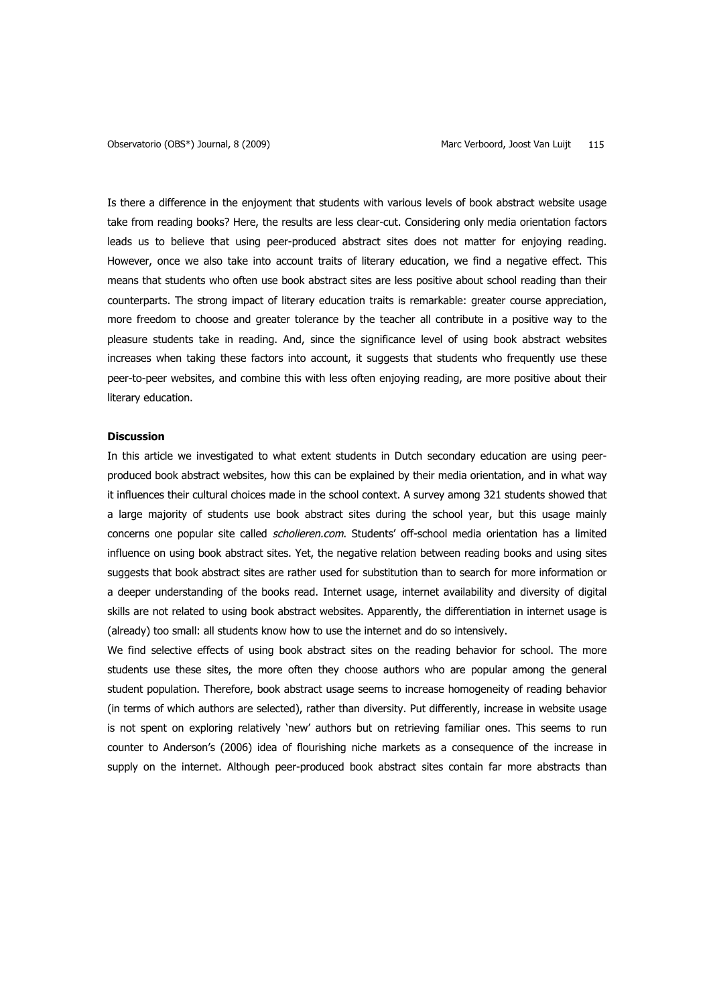Is there a difference in the enjoyment that students with various levels of book abstract website usage take from reading books? Here, the results are less clear-cut. Considering only media orientation factors leads us to believe that using peer-produced abstract sites does not matter for enjoying reading. However, once we also take into account traits of literary education, we find a negative effect. This means that students who often use book abstract sites are less positive about school reading than their counterparts. The strong impact of literary education traits is remarkable: greater course appreciation, more freedom to choose and greater tolerance by the teacher all contribute in a positive way to the pleasure students take in reading. And, since the significance level of using book abstract websites increases when taking these factors into account, it suggests that students who frequently use these peer-to-peer websites, and combine this with less often enjoying reading, are more positive about their literary education.

## **Discussion**

In this article we investigated to what extent students in Dutch secondary education are using peerproduced book abstract websites, how this can be explained by their media orientation, and in what way it influences their cultural choices made in the school context. A survey among 321 students showed that a large majority of students use book abstract sites during the school year, but this usage mainly concerns one popular site called *scholieren.com*. Students' off-school media orientation has a limited influence on using book abstract sites. Yet, the negative relation between reading books and using sites suggests that book abstract sites are rather used for substitution than to search for more information or a deeper understanding of the books read. Internet usage, internet availability and diversity of digital skills are not related to using book abstract websites. Apparently, the differentiation in internet usage is (already) too small: all students know how to use the internet and do so intensively.

We find selective effects of using book abstract sites on the reading behavior for school. The more students use these sites, the more often they choose authors who are popular among the general student population. Therefore, book abstract usage seems to increase homogeneity of reading behavior (in terms of which authors are selected), rather than diversity. Put differently, increase in website usage is not spent on exploring relatively 'new' authors but on retrieving familiar ones. This seems to run counter to Anderson's (2006) idea of flourishing niche markets as a consequence of the increase in supply on the internet. Although peer-produced book abstract sites contain far more abstracts than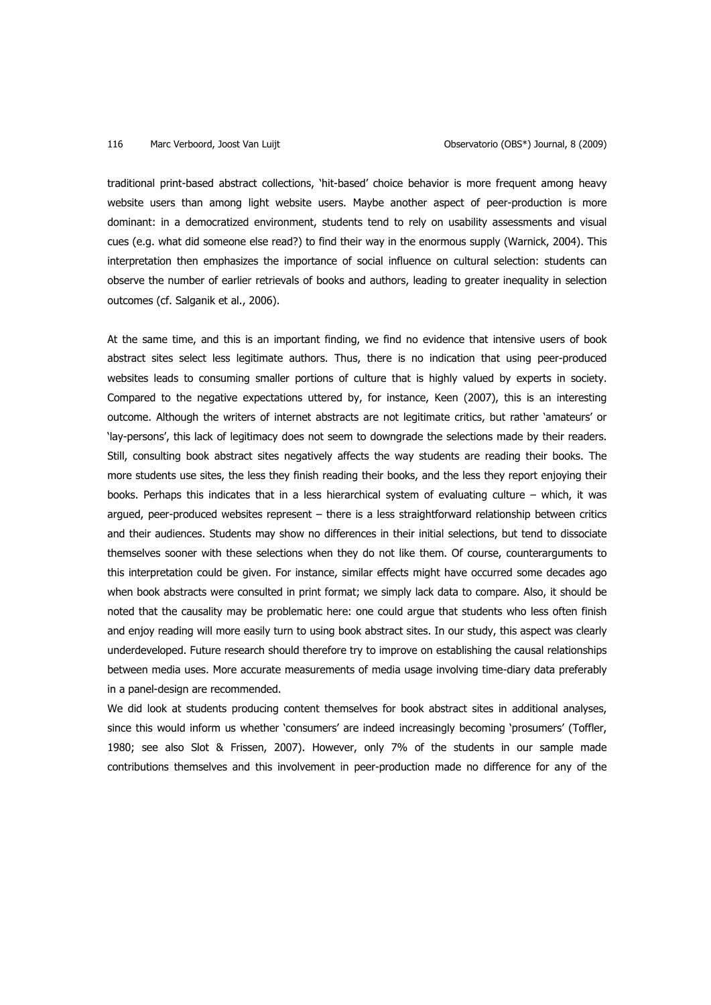traditional print-based abstract collections, 'hit-based' choice behavior is more frequent among heavy website users than among light website users. Maybe another aspect of peer-production is more dominant: in a democratized environment, students tend to rely on usability assessments and visual cues (e.g. what did someone else read?) to find their way in the enormous supply (Warnick, 2004). This interpretation then emphasizes the importance of social influence on cultural selection: students can observe the number of earlier retrievals of books and authors, leading to greater inequality in selection outcomes (cf. Salganik et al., 2006).

At the same time, and this is an important finding, we find no evidence that intensive users of book abstract sites select less legitimate authors. Thus, there is no indication that using peer-produced websites leads to consuming smaller portions of culture that is highly valued by experts in society. Compared to the negative expectations uttered by, for instance, Keen (2007), this is an interesting outcome. Although the writers of internet abstracts are not legitimate critics, but rather 'amateurs' or 'lay-persons', this lack of legitimacy does not seem to downgrade the selections made by their readers. Still, consulting book abstract sites negatively affects the way students are reading their books. The more students use sites, the less they finish reading their books, and the less they report enjoying their books. Perhaps this indicates that in a less hierarchical system of evaluating culture – which, it was argued, peer-produced websites represent – there is a less straightforward relationship between critics and their audiences. Students may show no differences in their initial selections, but tend to dissociate themselves sooner with these selections when they do not like them. Of course, counterarguments to this interpretation could be given. For instance, similar effects might have occurred some decades ago when book abstracts were consulted in print format; we simply lack data to compare. Also, it should be noted that the causality may be problematic here: one could argue that students who less often finish and enjoy reading will more easily turn to using book abstract sites. In our study, this aspect was clearly underdeveloped. Future research should therefore try to improve on establishing the causal relationships between media uses. More accurate measurements of media usage involving time-diary data preferably in a panel-design are recommended.

We did look at students producing content themselves for book abstract sites in additional analyses, since this would inform us whether 'consumers' are indeed increasingly becoming 'prosumers' (Toffler, 1980; see also Slot & Frissen, 2007). However, only 7% of the students in our sample made contributions themselves and this involvement in peer-production made no difference for any of the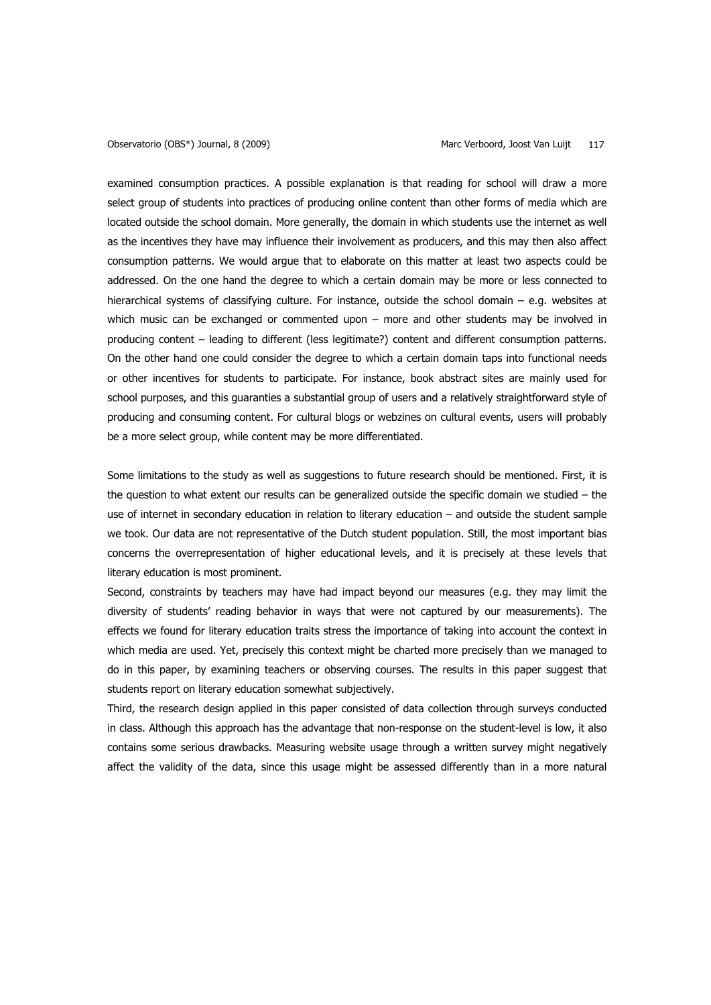examined consumption practices. A possible explanation is that reading for school will draw a more select group of students into practices of producing online content than other forms of media which are located outside the school domain. More generally, the domain in which students use the internet as well as the incentives they have may influence their involvement as producers, and this may then also affect consumption patterns. We would argue that to elaborate on this matter at least two aspects could be addressed. On the one hand the degree to which a certain domain may be more or less connected to hierarchical systems of classifying culture. For instance, outside the school domain – e.g. websites at which music can be exchanged or commented upon – more and other students may be involved in producing content – leading to different (less legitimate?) content and different consumption patterns. On the other hand one could consider the degree to which a certain domain taps into functional needs or other incentives for students to participate. For instance, book abstract sites are mainly used for school purposes, and this guaranties a substantial group of users and a relatively straightforward style of producing and consuming content. For cultural blogs or webzines on cultural events, users will probably be a more select group, while content may be more differentiated.

Some limitations to the study as well as suggestions to future research should be mentioned. First, it is the question to what extent our results can be generalized outside the specific domain we studied – the use of internet in secondary education in relation to literary education – and outside the student sample we took. Our data are not representative of the Dutch student population. Still, the most important bias concerns the overrepresentation of higher educational levels, and it is precisely at these levels that literary education is most prominent.

Second, constraints by teachers may have had impact beyond our measures (e.g. they may limit the diversity of students' reading behavior in ways that were not captured by our measurements). The effects we found for literary education traits stress the importance of taking into account the context in which media are used. Yet, precisely this context might be charted more precisely than we managed to do in this paper, by examining teachers or observing courses. The results in this paper suggest that students report on literary education somewhat subjectively.

Third, the research design applied in this paper consisted of data collection through surveys conducted in class. Although this approach has the advantage that non-response on the student-level is low, it also contains some serious drawbacks. Measuring website usage through a written survey might negatively affect the validity of the data, since this usage might be assessed differently than in a more natural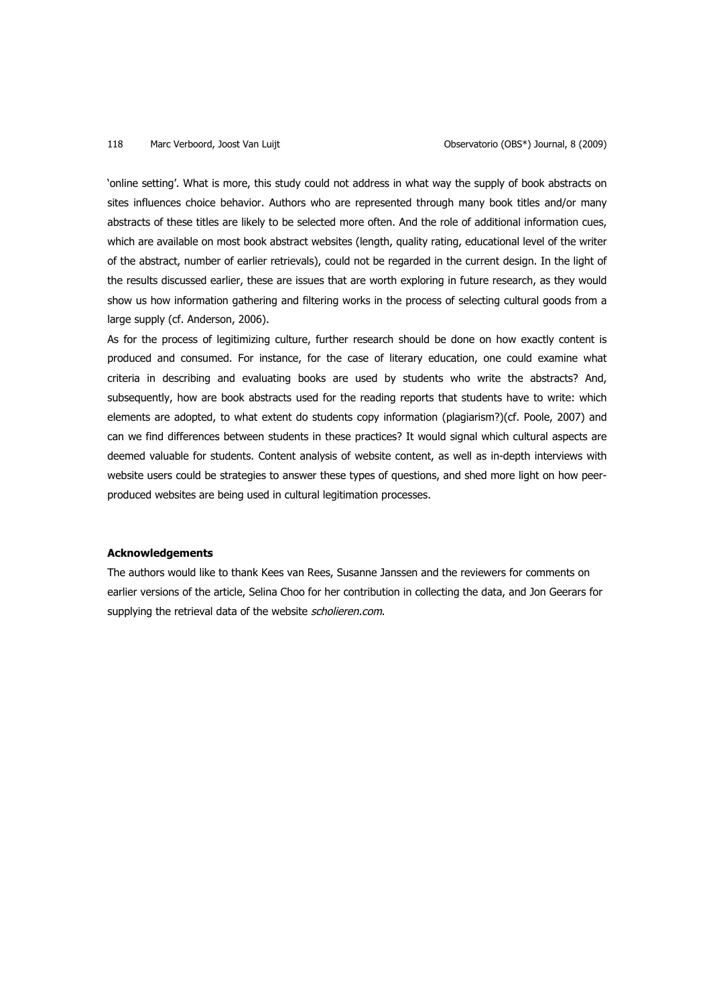'online setting'. What is more, this study could not address in what way the supply of book abstracts on sites influences choice behavior. Authors who are represented through many book titles and/or many abstracts of these titles are likely to be selected more often. And the role of additional information cues, which are available on most book abstract websites (length, quality rating, educational level of the writer of the abstract, number of earlier retrievals), could not be regarded in the current design. In the light of the results discussed earlier, these are issues that are worth exploring in future research, as they would show us how information gathering and filtering works in the process of selecting cultural goods from a large supply (cf. Anderson, 2006).

As for the process of legitimizing culture, further research should be done on how exactly content is produced and consumed. For instance, for the case of literary education, one could examine what criteria in describing and evaluating books are used by students who write the abstracts? And, subsequently, how are book abstracts used for the reading reports that students have to write: which elements are adopted, to what extent do students copy information (plagiarism?)(cf. Poole, 2007) and can we find differences between students in these practices? It would signal which cultural aspects are deemed valuable for students. Content analysis of website content, as well as in-depth interviews with website users could be strategies to answer these types of questions, and shed more light on how peerproduced websites are being used in cultural legitimation processes.

### **Acknowledgements**

The authors would like to thank Kees van Rees, Susanne Janssen and the reviewers for comments on earlier versions of the article, Selina Choo for her contribution in collecting the data, and Jon Geerars for supplying the retrieval data of the website scholieren.com.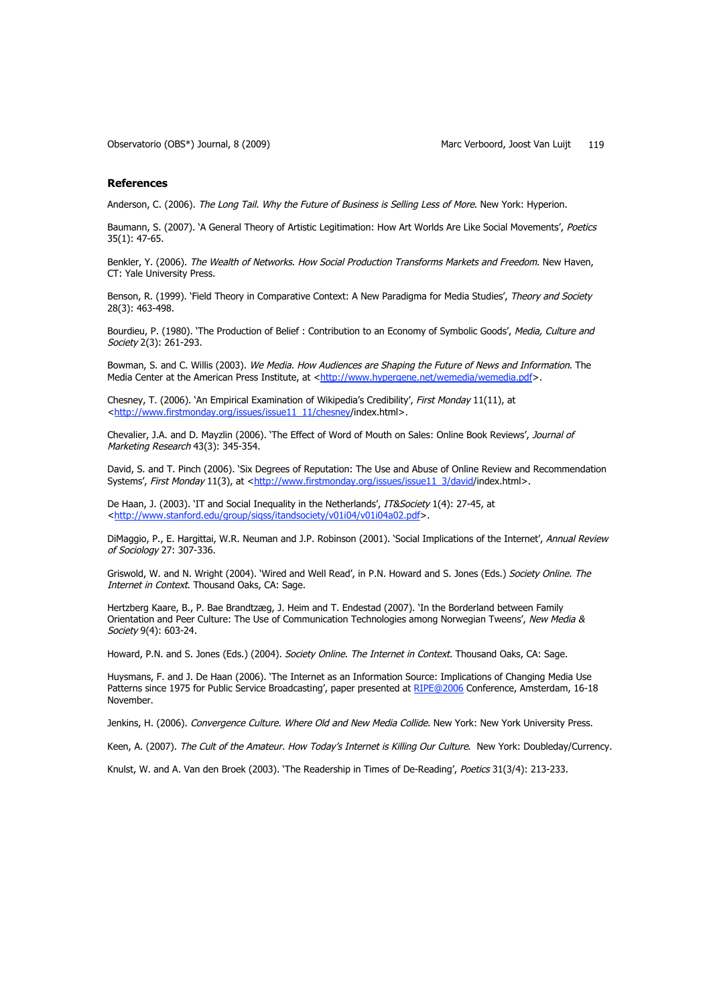#### **References**

Anderson, C. (2006). The Long Tail. Why the Future of Business is Selling Less of More. New York: Hyperion.

Baumann, S. (2007). 'A General Theory of Artistic Legitimation: How Art Worlds Are Like Social Movements', Poetics 35(1): 47-65.

Benkler, Y. (2006). The Wealth of Networks. How Social Production Transforms Markets and Freedom. New Haven, CT: Yale University Press.

Benson, R. (1999). 'Field Theory in Comparative Context: A New Paradigma for Media Studies', Theory and Society 28(3): 463-498.

Bourdieu, P. (1980). 'The Production of Belief : Contribution to an Economy of Symbolic Goods', Media, Culture and Society 2(3): 261-293.

Bowman, S. and C. Willis (2003). We Media. How Audiences are Shaping the Future of News and Information. The Media Center at the American Press Institute, at <http://www.hypergene.net/wemedia/wemedia.pdf>.

Chesney, T. (2006). 'An Empirical Examination of Wikipedia's Credibility', First Monday 11(11), at <http://www.firstmonday.org/issues/issue11\_11/chesney/index.html>.

Chevalier, J.A. and D. Mayzlin (2006). 'The Effect of Word of Mouth on Sales: Online Book Reviews', Journal of Marketing Research 43(3): 345-354.

David, S. and T. Pinch (2006). 'Six Degrees of Reputation: The Use and Abuse of Online Review and Recommendation Systems', First Monday 11(3), at <http://www.firstmonday.org/issues/issue11\_3/david/index.html>.

De Haan, J. (2003). 'IT and Social Inequality in the Netherlands', IT&Society 1(4): 27-45, at <http://www.stanford.edu/group/siqss/itandsociety/v01i04/v01i04a02.pdf>.

DiMaggio, P., E. Hargittai, W.R. Neuman and J.P. Robinson (2001). 'Social Implications of the Internet', Annual Review of Sociology 27: 307-336.

Griswold, W. and N. Wright (2004). 'Wired and Well Read', in P.N. Howard and S. Jones (Eds.) Society Online. The Internet in Context. Thousand Oaks, CA: Sage.

Hertzberg Kaare, B., P. Bae Brandtzæg, J. Heim and T. Endestad (2007). 'In the Borderland between Family Orientation and Peer Culture: The Use of Communication Technologies among Norwegian Tweens', New Media & Society 9(4): 603-24.

Howard, P.N. and S. Jones (Eds.) (2004). Society Online. The Internet in Context. Thousand Oaks, CA: Sage.

Huysmans, F. and J. De Haan (2006). 'The Internet as an Information Source: Implications of Changing Media Use Patterns since 1975 for Public Service Broadcasting', paper presented at RIPE@2006 Conference, Amsterdam, 16-18 November.

Jenkins, H. (2006). Convergence Culture. Where Old and New Media Collide. New York: New York University Press.

Keen, A. (2007). The Cult of the Amateur. How Today's Internet is Killing Our Culture. New York: Doubleday/Currency.

Knulst, W. and A. Van den Broek (2003). 'The Readership in Times of De-Reading', Poetics 31(3/4): 213-233.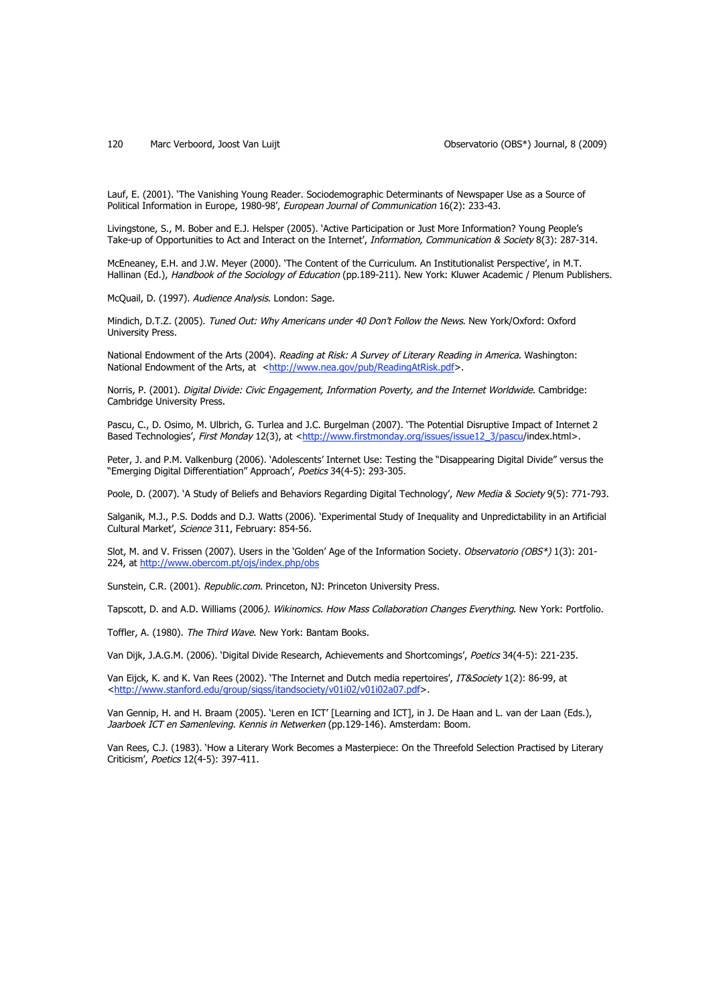Lauf, E. (2001). 'The Vanishing Young Reader. Sociodemographic Determinants of Newspaper Use as a Source of Political Information in Europe, 1980-98', European Journal of Communication 16(2): 233-43.

Livingstone, S., M. Bober and E.J. Helsper (2005). 'Active Participation or Just More Information? Young People's Take-up of Opportunities to Act and Interact on the Internet', Information, Communication & Society 8(3): 287-314.

McEneaney, E.H. and J.W. Meyer (2000). 'The Content of the Curriculum. An Institutionalist Perspective', in M.T. Hallinan (Ed.), Handbook of the Sociology of Education (pp.189-211). New York: Kluwer Academic / Plenum Publishers.

McQuail, D. (1997). Audience Analysis. London: Sage.

Mindich, D.T.Z. (2005). Tuned Out: Why Americans under 40 Don't Follow the News. New York/Oxford: Oxford University Press.

National Endowment of the Arts (2004). Reading at Risk: A Survey of Literary Reading in America. Washington: National Endowment of the Arts, at <http://www.nea.gov/pub/ReadingAtRisk.pdf>.

Norris, P. (2001). Digital Divide: Civic Engagement, Information Poverty, and the Internet Worldwide. Cambridge: Cambridge University Press.

Pascu, C., D. Osimo, M. Ulbrich, G. Turlea and J.C. Burgelman (2007). 'The Potential Disruptive Impact of Internet 2 Based Technologies', First Monday 12(3), at <http://www.firstmonday.org/issues/issue12\_3/pascu/index.html>.

Peter, J. and P.M. Valkenburg (2006). 'Adolescents' Internet Use: Testing the "Disappearing Digital Divide" versus the "Emerging Digital Differentiation" Approach', Poetics 34(4-5): 293-305.

Poole, D. (2007). 'A Study of Beliefs and Behaviors Regarding Digital Technology', New Media & Society 9(5): 771-793.

Salganik, M.J., P.S. Dodds and D.J. Watts (2006). 'Experimental Study of Inequality and Unpredictability in an Artificial Cultural Market', Science 311, February: 854-56.

Slot, M. and V. Frissen (2007). Users in the 'Golden' Age of the Information Society. Observatorio (OBS\*) 1(3): 201-224, at http://www.obercom.pt/ojs/index.php/obs

Sunstein, C.R. (2001). Republic.com. Princeton, NJ: Princeton University Press.

Tapscott, D. and A.D. Williams (2006). Wikinomics. How Mass Collaboration Changes Everything. New York: Portfolio.

Toffler, A. (1980). The Third Wave. New York: Bantam Books.

Van Dijk, J.A.G.M. (2006). 'Digital Divide Research, Achievements and Shortcomings', Poetics 34(4-5): 221-235.

Van Eijck, K. and K. Van Rees (2002). 'The Internet and Dutch media repertoires', IT&Society 1(2): 86-99, at <http://www.stanford.edu/group/siqss/itandsociety/v01i02/v01i02a07.pdf>.

Van Gennip, H. and H. Braam (2005). 'Leren en ICT' [Learning and ICT], in J. De Haan and L. van der Laan (Eds.), Jaarboek ICT en Samenleving. Kennis in Netwerken (pp.129-146). Amsterdam: Boom.

Van Rees, C.J. (1983). 'How a Literary Work Becomes a Masterpiece: On the Threefold Selection Practised by Literary Criticism', Poetics 12(4-5): 397-411.